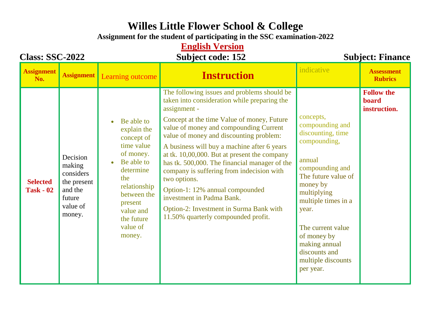## **Willes Little Flower School & College**

**Assignment for the student of participating in the SSC examination-2022**

#### **English Version**

#### **Class: SSC-2022 Subject code: 152 Subject: Finance**

| <b>Assignment</b><br>No.            | <b>Assignment</b>                                                                         | Learning outcome                                                                                                                                                                                                  | <b>Instruction</b>                                                                                                                                                                                                                                                                                                                                                                                                                                                                                                                                                                                               | indicative                                                                                                                                                                                                                                                                                | <b>Assessment</b><br><b>Rubrics</b>        |
|-------------------------------------|-------------------------------------------------------------------------------------------|-------------------------------------------------------------------------------------------------------------------------------------------------------------------------------------------------------------------|------------------------------------------------------------------------------------------------------------------------------------------------------------------------------------------------------------------------------------------------------------------------------------------------------------------------------------------------------------------------------------------------------------------------------------------------------------------------------------------------------------------------------------------------------------------------------------------------------------------|-------------------------------------------------------------------------------------------------------------------------------------------------------------------------------------------------------------------------------------------------------------------------------------------|--------------------------------------------|
| <b>Selected</b><br><b>Task - 02</b> | Decision<br>making<br>considers<br>the present<br>and the<br>future<br>value of<br>money. | Be able to<br>$\bullet$<br>explain the<br>concept of<br>time value<br>of money.<br>Be able to<br>Ċ<br>determine<br>the<br>relationship<br>between the<br>present<br>value and<br>the future<br>value of<br>money. | The following issues and problems should be<br>taken into consideration while preparing the<br>assignment -<br>Concept at the time Value of money, Future<br>value of money and compounding Current<br>value of money and discounting problem:<br>A business will buy a machine after 6 years<br>at tk. $10,00,000$ . But at present the company<br>has tk. 500,000. The financial manager of the<br>company is suffering from indecision with<br>two options.<br>Option-1: 12% annual compounded<br>investment in Padma Bank.<br>Option-2: Investment in Surma Bank with<br>11.50% quarterly compounded profit. | concepts,<br>compounding and<br>discounting, time<br>compounding,<br>annual<br>compounding and<br>The future value of<br>money by<br>multiplying<br>multiple times in a<br>year.<br>The current value<br>of money by<br>making annual<br>discounts and<br>multiple discounts<br>per year. | <b>Follow the</b><br>board<br>instruction. |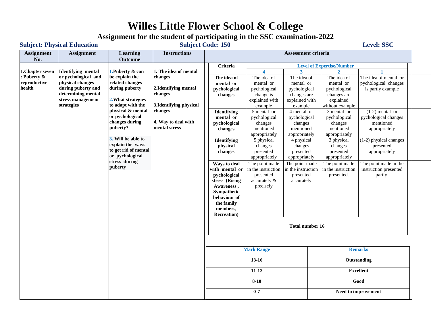## **Willes Little Flower School & College**

# **Assignment for the student of participating in the SSC examination-2022**<br>Subject Code: 150

#### Subject: Physical Education Subject Code: 150 Level: SSC

| No.<br><b>Outcome</b><br>Criteria<br><b>Level of Expertise/Number</b><br><b>Identifying mental</b><br>1. Puberty & can<br>1. The idea of mental<br>1. Chapter seven<br>$\blacktriangle$<br>$\overline{\mathbf{3}}$<br>or pychological and<br>Puberty &<br>be explain the<br>changes<br>The idea of<br>The idea of<br>The idea of<br>The idea of<br>The idea of mental or<br>reproductive<br>physical changes<br>related changes<br>pychological changes<br>mental or<br>mental or<br>mental or<br>mental or<br>health<br>during puberty and<br>during puberty<br>2. Identifying mental<br>pychological<br>pychological<br>pychological<br>is partly example<br>pychological<br>determining mental<br>changes<br>changes<br>change is<br>changes are<br>changes are<br>stress management<br>2. What strategies<br>explained with<br>explained<br>explained with<br>to adapt with the<br>strategies<br>3. Identifying physical<br>example<br>example<br>without example<br>physical & mental<br>changes<br>4 mental or<br>$(1-2)$ mental or<br>5 mental or<br>3 mental or<br><b>Identifying</b><br>or pychological<br>pychological<br>pychological changes<br>mental or<br>pychological<br>pychological<br>changes during<br>4. Way to deal with<br>mentioned<br>pychological<br>changes<br>changes<br>changes<br>puberty?<br>mental stress<br>mentioned<br>mentioned<br>mentioned<br>changes<br>appropriately<br>appropriately<br>appropriately<br>appropriately<br>3. Will be able to<br><b>Identifying</b><br>5 physical<br>4 physical<br>3 physical<br>(1-2) physical changes<br>explain the ways<br>presented<br>changes<br>changes<br>changes<br>physical<br>to get rid of mental<br>presented<br>presented<br>presented<br>appropriately<br>changes<br>or pychological<br>appropriately<br>appropriately<br>appropriately<br>stress during<br>The point made<br>The point made<br>The point made<br>The point made in the<br>Ways to deal<br>puberty<br>in the instruction<br>in the instruction<br>in the instruction<br>instruction presented<br>with mental or<br>pychological<br>presented<br>presented<br>presented.<br>partly.<br>stress (Rising<br>accurately &<br>accurately<br>Awareness,<br>precisely<br>Sympathetic<br>behaviour of<br>the family<br>members,<br><b>Recreation</b> )<br><b>Total number 16</b><br><b>Mark Range</b><br><b>Remarks</b><br>$13-16$<br>Outstanding<br>$11 - 12$<br><b>Excellent</b><br>$8 - 10$<br>Good<br>$0 - 7$<br>Need to improvement | <b>Assignment</b> | <b>Assignment</b> | <b>Learning</b> | <b>Instructions</b> | Assessment criteria |  |  |  |  |  |  |  |  |
|----------------------------------------------------------------------------------------------------------------------------------------------------------------------------------------------------------------------------------------------------------------------------------------------------------------------------------------------------------------------------------------------------------------------------------------------------------------------------------------------------------------------------------------------------------------------------------------------------------------------------------------------------------------------------------------------------------------------------------------------------------------------------------------------------------------------------------------------------------------------------------------------------------------------------------------------------------------------------------------------------------------------------------------------------------------------------------------------------------------------------------------------------------------------------------------------------------------------------------------------------------------------------------------------------------------------------------------------------------------------------------------------------------------------------------------------------------------------------------------------------------------------------------------------------------------------------------------------------------------------------------------------------------------------------------------------------------------------------------------------------------------------------------------------------------------------------------------------------------------------------------------------------------------------------------------------------------------------------------------------------------------------------------------------------------------------------------------------------------------------------------------------------------------------------------------------------------------------------------------------------------------------------------------------------------------------------------------------------------------------------------------------------------------------------------------------------------------------------------------|-------------------|-------------------|-----------------|---------------------|---------------------|--|--|--|--|--|--|--|--|
|                                                                                                                                                                                                                                                                                                                                                                                                                                                                                                                                                                                                                                                                                                                                                                                                                                                                                                                                                                                                                                                                                                                                                                                                                                                                                                                                                                                                                                                                                                                                                                                                                                                                                                                                                                                                                                                                                                                                                                                                                                                                                                                                                                                                                                                                                                                                                                                                                                                                                        |                   |                   |                 |                     |                     |  |  |  |  |  |  |  |  |
|                                                                                                                                                                                                                                                                                                                                                                                                                                                                                                                                                                                                                                                                                                                                                                                                                                                                                                                                                                                                                                                                                                                                                                                                                                                                                                                                                                                                                                                                                                                                                                                                                                                                                                                                                                                                                                                                                                                                                                                                                                                                                                                                                                                                                                                                                                                                                                                                                                                                                        |                   |                   |                 |                     |                     |  |  |  |  |  |  |  |  |
|                                                                                                                                                                                                                                                                                                                                                                                                                                                                                                                                                                                                                                                                                                                                                                                                                                                                                                                                                                                                                                                                                                                                                                                                                                                                                                                                                                                                                                                                                                                                                                                                                                                                                                                                                                                                                                                                                                                                                                                                                                                                                                                                                                                                                                                                                                                                                                                                                                                                                        |                   |                   |                 |                     |                     |  |  |  |  |  |  |  |  |
|                                                                                                                                                                                                                                                                                                                                                                                                                                                                                                                                                                                                                                                                                                                                                                                                                                                                                                                                                                                                                                                                                                                                                                                                                                                                                                                                                                                                                                                                                                                                                                                                                                                                                                                                                                                                                                                                                                                                                                                                                                                                                                                                                                                                                                                                                                                                                                                                                                                                                        |                   |                   |                 |                     |                     |  |  |  |  |  |  |  |  |
|                                                                                                                                                                                                                                                                                                                                                                                                                                                                                                                                                                                                                                                                                                                                                                                                                                                                                                                                                                                                                                                                                                                                                                                                                                                                                                                                                                                                                                                                                                                                                                                                                                                                                                                                                                                                                                                                                                                                                                                                                                                                                                                                                                                                                                                                                                                                                                                                                                                                                        |                   |                   |                 |                     |                     |  |  |  |  |  |  |  |  |
|                                                                                                                                                                                                                                                                                                                                                                                                                                                                                                                                                                                                                                                                                                                                                                                                                                                                                                                                                                                                                                                                                                                                                                                                                                                                                                                                                                                                                                                                                                                                                                                                                                                                                                                                                                                                                                                                                                                                                                                                                                                                                                                                                                                                                                                                                                                                                                                                                                                                                        |                   |                   |                 |                     |                     |  |  |  |  |  |  |  |  |
|                                                                                                                                                                                                                                                                                                                                                                                                                                                                                                                                                                                                                                                                                                                                                                                                                                                                                                                                                                                                                                                                                                                                                                                                                                                                                                                                                                                                                                                                                                                                                                                                                                                                                                                                                                                                                                                                                                                                                                                                                                                                                                                                                                                                                                                                                                                                                                                                                                                                                        |                   |                   |                 |                     |                     |  |  |  |  |  |  |  |  |
|                                                                                                                                                                                                                                                                                                                                                                                                                                                                                                                                                                                                                                                                                                                                                                                                                                                                                                                                                                                                                                                                                                                                                                                                                                                                                                                                                                                                                                                                                                                                                                                                                                                                                                                                                                                                                                                                                                                                                                                                                                                                                                                                                                                                                                                                                                                                                                                                                                                                                        |                   |                   |                 |                     |                     |  |  |  |  |  |  |  |  |
|                                                                                                                                                                                                                                                                                                                                                                                                                                                                                                                                                                                                                                                                                                                                                                                                                                                                                                                                                                                                                                                                                                                                                                                                                                                                                                                                                                                                                                                                                                                                                                                                                                                                                                                                                                                                                                                                                                                                                                                                                                                                                                                                                                                                                                                                                                                                                                                                                                                                                        |                   |                   |                 |                     |                     |  |  |  |  |  |  |  |  |
|                                                                                                                                                                                                                                                                                                                                                                                                                                                                                                                                                                                                                                                                                                                                                                                                                                                                                                                                                                                                                                                                                                                                                                                                                                                                                                                                                                                                                                                                                                                                                                                                                                                                                                                                                                                                                                                                                                                                                                                                                                                                                                                                                                                                                                                                                                                                                                                                                                                                                        |                   |                   |                 |                     |                     |  |  |  |  |  |  |  |  |
|                                                                                                                                                                                                                                                                                                                                                                                                                                                                                                                                                                                                                                                                                                                                                                                                                                                                                                                                                                                                                                                                                                                                                                                                                                                                                                                                                                                                                                                                                                                                                                                                                                                                                                                                                                                                                                                                                                                                                                                                                                                                                                                                                                                                                                                                                                                                                                                                                                                                                        |                   |                   |                 |                     |                     |  |  |  |  |  |  |  |  |
|                                                                                                                                                                                                                                                                                                                                                                                                                                                                                                                                                                                                                                                                                                                                                                                                                                                                                                                                                                                                                                                                                                                                                                                                                                                                                                                                                                                                                                                                                                                                                                                                                                                                                                                                                                                                                                                                                                                                                                                                                                                                                                                                                                                                                                                                                                                                                                                                                                                                                        |                   |                   |                 |                     |                     |  |  |  |  |  |  |  |  |
|                                                                                                                                                                                                                                                                                                                                                                                                                                                                                                                                                                                                                                                                                                                                                                                                                                                                                                                                                                                                                                                                                                                                                                                                                                                                                                                                                                                                                                                                                                                                                                                                                                                                                                                                                                                                                                                                                                                                                                                                                                                                                                                                                                                                                                                                                                                                                                                                                                                                                        |                   |                   |                 |                     |                     |  |  |  |  |  |  |  |  |
|                                                                                                                                                                                                                                                                                                                                                                                                                                                                                                                                                                                                                                                                                                                                                                                                                                                                                                                                                                                                                                                                                                                                                                                                                                                                                                                                                                                                                                                                                                                                                                                                                                                                                                                                                                                                                                                                                                                                                                                                                                                                                                                                                                                                                                                                                                                                                                                                                                                                                        |                   |                   |                 |                     |                     |  |  |  |  |  |  |  |  |
|                                                                                                                                                                                                                                                                                                                                                                                                                                                                                                                                                                                                                                                                                                                                                                                                                                                                                                                                                                                                                                                                                                                                                                                                                                                                                                                                                                                                                                                                                                                                                                                                                                                                                                                                                                                                                                                                                                                                                                                                                                                                                                                                                                                                                                                                                                                                                                                                                                                                                        |                   |                   |                 |                     |                     |  |  |  |  |  |  |  |  |
|                                                                                                                                                                                                                                                                                                                                                                                                                                                                                                                                                                                                                                                                                                                                                                                                                                                                                                                                                                                                                                                                                                                                                                                                                                                                                                                                                                                                                                                                                                                                                                                                                                                                                                                                                                                                                                                                                                                                                                                                                                                                                                                                                                                                                                                                                                                                                                                                                                                                                        |                   |                   |                 |                     |                     |  |  |  |  |  |  |  |  |
|                                                                                                                                                                                                                                                                                                                                                                                                                                                                                                                                                                                                                                                                                                                                                                                                                                                                                                                                                                                                                                                                                                                                                                                                                                                                                                                                                                                                                                                                                                                                                                                                                                                                                                                                                                                                                                                                                                                                                                                                                                                                                                                                                                                                                                                                                                                                                                                                                                                                                        |                   |                   |                 |                     |                     |  |  |  |  |  |  |  |  |
|                                                                                                                                                                                                                                                                                                                                                                                                                                                                                                                                                                                                                                                                                                                                                                                                                                                                                                                                                                                                                                                                                                                                                                                                                                                                                                                                                                                                                                                                                                                                                                                                                                                                                                                                                                                                                                                                                                                                                                                                                                                                                                                                                                                                                                                                                                                                                                                                                                                                                        |                   |                   |                 |                     |                     |  |  |  |  |  |  |  |  |
|                                                                                                                                                                                                                                                                                                                                                                                                                                                                                                                                                                                                                                                                                                                                                                                                                                                                                                                                                                                                                                                                                                                                                                                                                                                                                                                                                                                                                                                                                                                                                                                                                                                                                                                                                                                                                                                                                                                                                                                                                                                                                                                                                                                                                                                                                                                                                                                                                                                                                        |                   |                   |                 |                     |                     |  |  |  |  |  |  |  |  |
|                                                                                                                                                                                                                                                                                                                                                                                                                                                                                                                                                                                                                                                                                                                                                                                                                                                                                                                                                                                                                                                                                                                                                                                                                                                                                                                                                                                                                                                                                                                                                                                                                                                                                                                                                                                                                                                                                                                                                                                                                                                                                                                                                                                                                                                                                                                                                                                                                                                                                        |                   |                   |                 |                     |                     |  |  |  |  |  |  |  |  |
|                                                                                                                                                                                                                                                                                                                                                                                                                                                                                                                                                                                                                                                                                                                                                                                                                                                                                                                                                                                                                                                                                                                                                                                                                                                                                                                                                                                                                                                                                                                                                                                                                                                                                                                                                                                                                                                                                                                                                                                                                                                                                                                                                                                                                                                                                                                                                                                                                                                                                        |                   |                   |                 |                     |                     |  |  |  |  |  |  |  |  |
|                                                                                                                                                                                                                                                                                                                                                                                                                                                                                                                                                                                                                                                                                                                                                                                                                                                                                                                                                                                                                                                                                                                                                                                                                                                                                                                                                                                                                                                                                                                                                                                                                                                                                                                                                                                                                                                                                                                                                                                                                                                                                                                                                                                                                                                                                                                                                                                                                                                                                        |                   |                   |                 |                     |                     |  |  |  |  |  |  |  |  |
|                                                                                                                                                                                                                                                                                                                                                                                                                                                                                                                                                                                                                                                                                                                                                                                                                                                                                                                                                                                                                                                                                                                                                                                                                                                                                                                                                                                                                                                                                                                                                                                                                                                                                                                                                                                                                                                                                                                                                                                                                                                                                                                                                                                                                                                                                                                                                                                                                                                                                        |                   |                   |                 |                     |                     |  |  |  |  |  |  |  |  |
|                                                                                                                                                                                                                                                                                                                                                                                                                                                                                                                                                                                                                                                                                                                                                                                                                                                                                                                                                                                                                                                                                                                                                                                                                                                                                                                                                                                                                                                                                                                                                                                                                                                                                                                                                                                                                                                                                                                                                                                                                                                                                                                                                                                                                                                                                                                                                                                                                                                                                        |                   |                   |                 |                     |                     |  |  |  |  |  |  |  |  |
|                                                                                                                                                                                                                                                                                                                                                                                                                                                                                                                                                                                                                                                                                                                                                                                                                                                                                                                                                                                                                                                                                                                                                                                                                                                                                                                                                                                                                                                                                                                                                                                                                                                                                                                                                                                                                                                                                                                                                                                                                                                                                                                                                                                                                                                                                                                                                                                                                                                                                        |                   |                   |                 |                     |                     |  |  |  |  |  |  |  |  |
|                                                                                                                                                                                                                                                                                                                                                                                                                                                                                                                                                                                                                                                                                                                                                                                                                                                                                                                                                                                                                                                                                                                                                                                                                                                                                                                                                                                                                                                                                                                                                                                                                                                                                                                                                                                                                                                                                                                                                                                                                                                                                                                                                                                                                                                                                                                                                                                                                                                                                        |                   |                   |                 |                     |                     |  |  |  |  |  |  |  |  |
|                                                                                                                                                                                                                                                                                                                                                                                                                                                                                                                                                                                                                                                                                                                                                                                                                                                                                                                                                                                                                                                                                                                                                                                                                                                                                                                                                                                                                                                                                                                                                                                                                                                                                                                                                                                                                                                                                                                                                                                                                                                                                                                                                                                                                                                                                                                                                                                                                                                                                        |                   |                   |                 |                     |                     |  |  |  |  |  |  |  |  |
|                                                                                                                                                                                                                                                                                                                                                                                                                                                                                                                                                                                                                                                                                                                                                                                                                                                                                                                                                                                                                                                                                                                                                                                                                                                                                                                                                                                                                                                                                                                                                                                                                                                                                                                                                                                                                                                                                                                                                                                                                                                                                                                                                                                                                                                                                                                                                                                                                                                                                        |                   |                   |                 |                     |                     |  |  |  |  |  |  |  |  |
|                                                                                                                                                                                                                                                                                                                                                                                                                                                                                                                                                                                                                                                                                                                                                                                                                                                                                                                                                                                                                                                                                                                                                                                                                                                                                                                                                                                                                                                                                                                                                                                                                                                                                                                                                                                                                                                                                                                                                                                                                                                                                                                                                                                                                                                                                                                                                                                                                                                                                        |                   |                   |                 |                     |                     |  |  |  |  |  |  |  |  |
|                                                                                                                                                                                                                                                                                                                                                                                                                                                                                                                                                                                                                                                                                                                                                                                                                                                                                                                                                                                                                                                                                                                                                                                                                                                                                                                                                                                                                                                                                                                                                                                                                                                                                                                                                                                                                                                                                                                                                                                                                                                                                                                                                                                                                                                                                                                                                                                                                                                                                        |                   |                   |                 |                     |                     |  |  |  |  |  |  |  |  |
|                                                                                                                                                                                                                                                                                                                                                                                                                                                                                                                                                                                                                                                                                                                                                                                                                                                                                                                                                                                                                                                                                                                                                                                                                                                                                                                                                                                                                                                                                                                                                                                                                                                                                                                                                                                                                                                                                                                                                                                                                                                                                                                                                                                                                                                                                                                                                                                                                                                                                        |                   |                   |                 |                     |                     |  |  |  |  |  |  |  |  |
|                                                                                                                                                                                                                                                                                                                                                                                                                                                                                                                                                                                                                                                                                                                                                                                                                                                                                                                                                                                                                                                                                                                                                                                                                                                                                                                                                                                                                                                                                                                                                                                                                                                                                                                                                                                                                                                                                                                                                                                                                                                                                                                                                                                                                                                                                                                                                                                                                                                                                        |                   |                   |                 |                     |                     |  |  |  |  |  |  |  |  |
|                                                                                                                                                                                                                                                                                                                                                                                                                                                                                                                                                                                                                                                                                                                                                                                                                                                                                                                                                                                                                                                                                                                                                                                                                                                                                                                                                                                                                                                                                                                                                                                                                                                                                                                                                                                                                                                                                                                                                                                                                                                                                                                                                                                                                                                                                                                                                                                                                                                                                        |                   |                   |                 |                     |                     |  |  |  |  |  |  |  |  |
|                                                                                                                                                                                                                                                                                                                                                                                                                                                                                                                                                                                                                                                                                                                                                                                                                                                                                                                                                                                                                                                                                                                                                                                                                                                                                                                                                                                                                                                                                                                                                                                                                                                                                                                                                                                                                                                                                                                                                                                                                                                                                                                                                                                                                                                                                                                                                                                                                                                                                        |                   |                   |                 |                     |                     |  |  |  |  |  |  |  |  |
|                                                                                                                                                                                                                                                                                                                                                                                                                                                                                                                                                                                                                                                                                                                                                                                                                                                                                                                                                                                                                                                                                                                                                                                                                                                                                                                                                                                                                                                                                                                                                                                                                                                                                                                                                                                                                                                                                                                                                                                                                                                                                                                                                                                                                                                                                                                                                                                                                                                                                        |                   |                   |                 |                     |                     |  |  |  |  |  |  |  |  |
|                                                                                                                                                                                                                                                                                                                                                                                                                                                                                                                                                                                                                                                                                                                                                                                                                                                                                                                                                                                                                                                                                                                                                                                                                                                                                                                                                                                                                                                                                                                                                                                                                                                                                                                                                                                                                                                                                                                                                                                                                                                                                                                                                                                                                                                                                                                                                                                                                                                                                        |                   |                   |                 |                     |                     |  |  |  |  |  |  |  |  |
|                                                                                                                                                                                                                                                                                                                                                                                                                                                                                                                                                                                                                                                                                                                                                                                                                                                                                                                                                                                                                                                                                                                                                                                                                                                                                                                                                                                                                                                                                                                                                                                                                                                                                                                                                                                                                                                                                                                                                                                                                                                                                                                                                                                                                                                                                                                                                                                                                                                                                        |                   |                   |                 |                     |                     |  |  |  |  |  |  |  |  |
|                                                                                                                                                                                                                                                                                                                                                                                                                                                                                                                                                                                                                                                                                                                                                                                                                                                                                                                                                                                                                                                                                                                                                                                                                                                                                                                                                                                                                                                                                                                                                                                                                                                                                                                                                                                                                                                                                                                                                                                                                                                                                                                                                                                                                                                                                                                                                                                                                                                                                        |                   |                   |                 |                     |                     |  |  |  |  |  |  |  |  |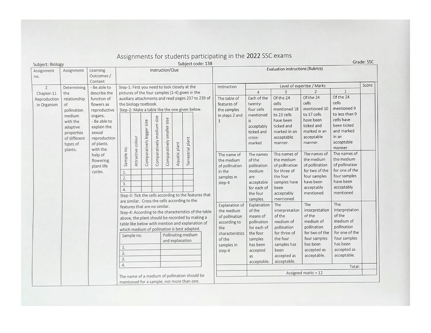| Subject: Biology | Assignment       | Learning                                                  |                                                                                                  |                   |                      |                           |                            |               |                                          | Subject code: 138                             |                            |                            |                      |                       |                                  |       |
|------------------|------------------|-----------------------------------------------------------|--------------------------------------------------------------------------------------------------|-------------------|----------------------|---------------------------|----------------------------|---------------|------------------------------------------|-----------------------------------------------|----------------------------|----------------------------|----------------------|-----------------------|----------------------------------|-------|
| Assignment       | Instruction/Clue |                                                           |                                                                                                  |                   |                      |                           |                            |               | <b>Evaluation instructions (Rubrics)</b> |                                               |                            |                            |                      |                       |                                  |       |
| no.              |                  | Outcomes /                                                |                                                                                                  |                   |                      |                           |                            |               |                                          |                                               |                            |                            |                      |                       |                                  |       |
|                  |                  | Content                                                   |                                                                                                  |                   |                      |                           |                            |               |                                          |                                               |                            |                            |                      |                       |                                  | Score |
| $\overline{2}$   | Determining      | - Be able to<br>describe the                              | Step-1: First you need to look closely at the                                                    |                   |                      |                           |                            |               |                                          |                                               | Instruction                | Level of expertise / Marks |                      |                       |                                  |       |
| Chapter-11       | the              | pictures of the four samples (1-4) given in the           |                                                                                                  |                   |                      |                           |                            |               |                                          |                                               | $\overline{4}$             | 3                          | $\overline{2}$       | $\mathbf{1}$          |                                  |       |
| Reproduction     | relationship     | function of                                               | auxiliary attachments and read pages 237 to 239 of                                               |                   |                      |                           |                            |               |                                          |                                               | The table of               | Each of the                | Of the 24            | Of the 24             | Of the 24                        |       |
| in Organism      | of               | flowers as                                                | the biology textbook.<br>Step-2: Make a table like the one given below.                          |                   |                      |                           |                            |               |                                          |                                               | features of<br>the samples | twenty-                    | cells                | cells                 | cells                            |       |
|                  | pollination      | reproductive                                              |                                                                                                  |                   |                      |                           |                            |               |                                          |                                               |                            | four cells                 | mentioned 18         | mentioned 10          | mentioned 9                      |       |
|                  | medium           | organs.                                                   |                                                                                                  |                   |                      |                           |                            |               |                                          |                                               | in steps 2 and             | mentioned                  | to 23 cells          | to 17 cells           | to less than 9                   |       |
|                  | with the         | - Be able to                                              |                                                                                                  |                   | size                 |                           |                            |               |                                          |                                               | ς                          | is                         | have been            | have been             | cells have                       |       |
|                  | adaptive         | explain the                                               |                                                                                                  |                   |                      |                           |                            |               |                                          |                                               |                            | acceptably                 | ticked and           | ticked and            | been ticked                      |       |
|                  | properties       | sexual                                                    |                                                                                                  |                   |                      |                           |                            |               |                                          |                                               |                            | ticked and                 | marked in an         | marked in an          | and marked                       |       |
|                  | of different     | reproduction                                              |                                                                                                  |                   |                      |                           |                            |               | plant                                    |                                               |                            |                            | acceptable<br>cross- | acceptable            | in an                            |       |
|                  | types of         | of plants                                                 |                                                                                                  |                   |                      |                           |                            |               |                                          |                                               |                            | marked                     | manner.              | manner.               | acceptable                       |       |
|                  | plants.          | with the<br>help of<br>flowering<br>plant life<br>cycles. | Sample no.                                                                                       | Attractive colour | Comparatively bigger | Comparatively medium size |                            |               |                                          |                                               |                            |                            |                      |                       | manner.                          |       |
|                  |                  |                                                           |                                                                                                  |                   |                      |                           | Comparatively smaller size | Aquatic plant | Terrestrial                              |                                               | The name of                | The names                  | The names of         | The names of          | The names of                     |       |
|                  |                  |                                                           |                                                                                                  |                   |                      |                           |                            |               |                                          |                                               | the medium                 | of the                     | the medium           | the medium            | the medium                       |       |
|                  |                  |                                                           |                                                                                                  |                   |                      |                           |                            |               |                                          |                                               | of pollination             | pollination                | of pollination       | of pollination        | of pollination<br>for one of the |       |
|                  |                  |                                                           | $1.$                                                                                             | 2.                |                      |                           |                            |               | in the<br>samples in                     | for three of<br>medium<br>the four<br>are     |                            | for two of the             |                      |                       |                                  |       |
|                  |                  |                                                           |                                                                                                  |                   |                      |                           |                            |               |                                          |                                               | four samples               | four samples<br>have been  |                      |                       |                                  |       |
|                  |                  |                                                           | 3.                                                                                               |                   |                      |                           |                            |               |                                          |                                               | step-4                     | acceptable<br>for each of  | samples have         | have been             | acceptably                       |       |
|                  |                  |                                                           | 4.                                                                                               |                   |                      |                           |                            |               |                                          |                                               |                            |                            | been                 | acceptably            |                                  |       |
|                  |                  |                                                           | Step-3: Tick the cells according to the features that                                            |                   |                      |                           |                            |               |                                          |                                               |                            | the four                   | acceptably           | mentioned             | mentioned                        |       |
|                  |                  |                                                           | are similar. Cross the cells according to the<br>features that are no similar.                   |                   |                      |                           |                            |               |                                          |                                               |                            | samples.                   | mentioned.           |                       |                                  |       |
|                  |                  |                                                           |                                                                                                  |                   |                      |                           |                            |               |                                          |                                               | Explanation of             | Explanation                | The                  | The                   | The                              |       |
|                  |                  |                                                           | Step-4: According to the characteristics of the table                                            |                   |                      |                           |                            |               |                                          |                                               | the medium                 | of the                     | interpretation       | interpretation        | interpretation<br>of the         |       |
|                  |                  |                                                           | above, the plant should be recorded by making a                                                  |                   |                      |                           |                            |               |                                          |                                               | of pollination             | means of                   | of the               | of the                |                                  |       |
|                  |                  |                                                           | table like below with mention and explanation of<br>which medium of pollination is best adapted. |                   |                      |                           |                            |               |                                          |                                               | according to               | medium of<br>pollination   |                      | medium of             | medium of                        |       |
|                  |                  |                                                           |                                                                                                  |                   |                      |                           |                            |               |                                          |                                               | the                        | for each of                | pollination          | pollination           | pollination                      |       |
|                  |                  |                                                           | Pollinating medium<br>Sample no.                                                                 |                   |                      |                           |                            |               |                                          |                                               | characteristics            | the four                   | for three of         | for two of the        | for one of the                   |       |
|                  |                  |                                                           |                                                                                                  |                   |                      |                           | and explanation            |               |                                          |                                               | of the                     | samples                    | the four             | four samples          | four samples<br>has been         |       |
|                  |                  |                                                           |                                                                                                  |                   |                      |                           |                            |               |                                          |                                               | samples in                 | has been                   | samples has          | has been              |                                  |       |
|                  |                  |                                                           | 2.<br>3.<br>4.                                                                                   |                   |                      |                           |                            |               |                                          |                                               | step-4                     | accepted                   | been                 | accepted as           | accepted as                      |       |
|                  |                  |                                                           |                                                                                                  |                   |                      |                           |                            | <b>as</b>     | accepted as                              | acceptable.                                   | acceptable.                |                            |                      |                       |                                  |       |
|                  |                  |                                                           |                                                                                                  |                   |                      |                           |                            | acceptable.   | acceptable.                              |                                               | Total:                     |                            |                      |                       |                                  |       |
|                  |                  |                                                           |                                                                                                  |                   |                      |                           |                            |               |                                          |                                               |                            |                            |                      |                       |                                  |       |
|                  |                  |                                                           |                                                                                                  |                   |                      |                           |                            |               |                                          | The name of a medium of pollination should be |                            |                            |                      | Assigned marks = $12$ |                                  |       |
|                  |                  |                                                           | mentioned for a sample, not more than one.                                                       |                   |                      |                           |                            |               |                                          |                                               |                            |                            |                      |                       |                                  |       |

## Assignments for students participating in the 2022 SSC exams

Grade: SSC

 $\sim$